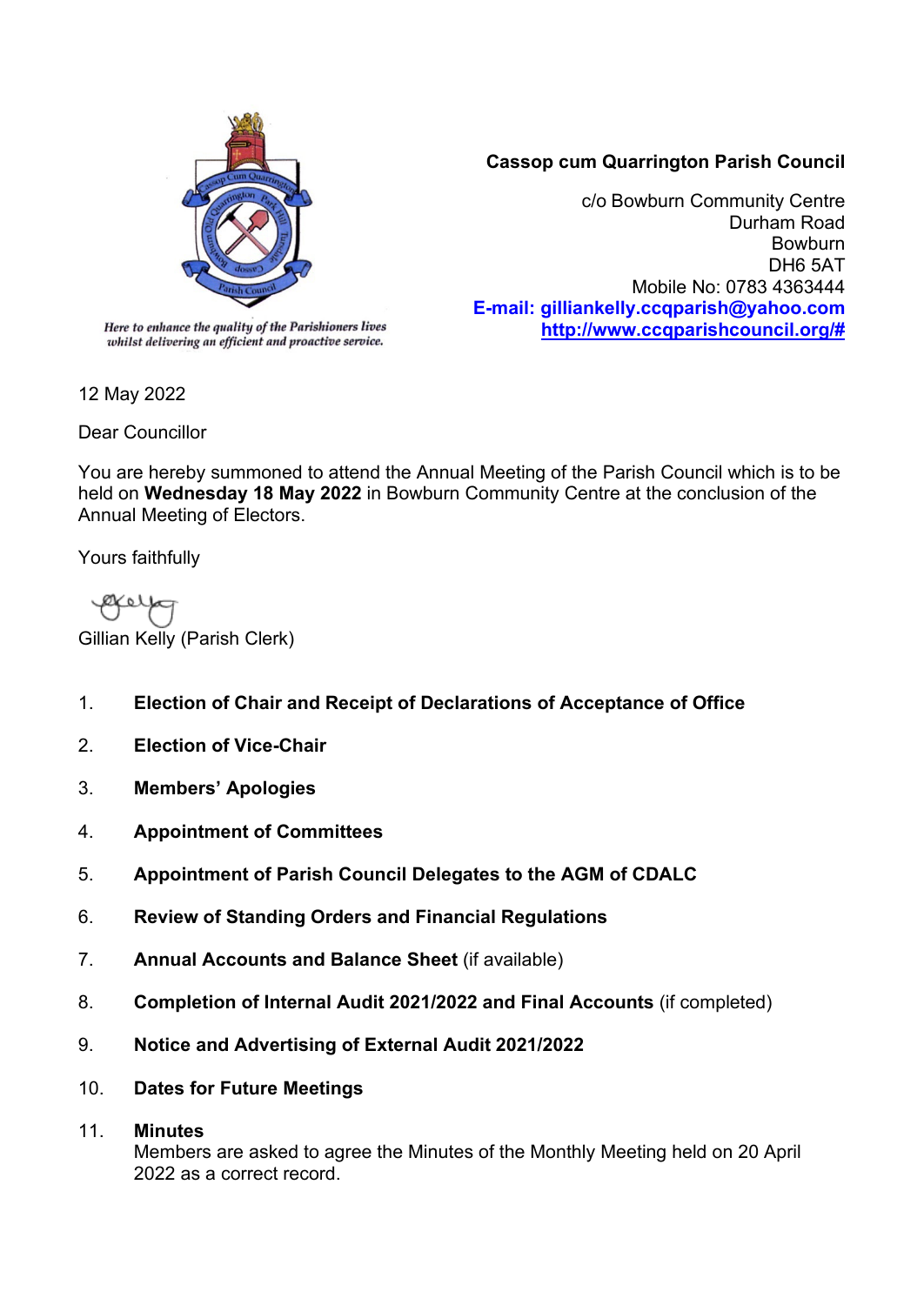

## **Cassop cum Quarrington Parish Council**

c/o Bowburn Community Centre Durham Road Bowburn DH6 5AT Mobile No: 0783 4363444 **E-mail: gilliankelly.ccqparish@yahoo.com [http://www.ccqparishcouncil.org/#](http://www.ccqparishcouncil.org/)**

whilst delivering an efficient and proactive service.

12 May 2022

Dear Councillor

You are hereby summoned to attend the Annual Meeting of the Parish Council which is to be held on **Wednesday 18 May 2022** in Bowburn Community Centre at the conclusion of the Annual Meeting of Electors.

Yours faithfully

Gillian Kelly (Parish Clerk)

- 1. **Election of Chair and Receipt of Declarations of Acceptance of Office**
- 2. **Election of Vice-Chair**
- 3. **Members' Apologies**
- 4. **Appointment of Committees**
- 5. **Appointment of Parish Council Delegates to the AGM of CDALC**
- 6. **Review of Standing Orders and Financial Regulations**
- 7. **Annual Accounts and Balance Sheet** (if available)
- 8. **Completion of Internal Audit 2021/2022 and Final Accounts** (if completed)
- 9. **Notice and Advertising of External Audit 2021/2022**
- 10. **Dates for Future Meetings**

## 11. **Minutes**

Members are asked to agree the Minutes of the Monthly Meeting held on 20 April 2022 as a correct record.